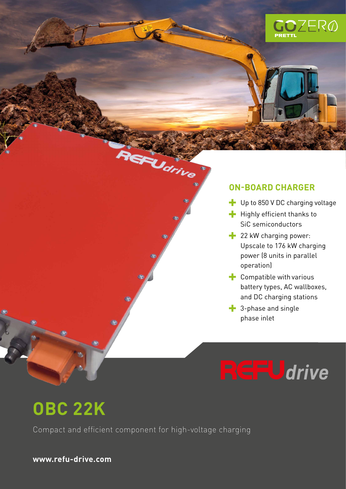

### **ON-BOARD CHARGER**

- Up to 850 V DC charging voltage
- $\blacksquare$  Highly efficient thanks to SiC semiconductors
- **22 kW charging power:** Upscale to 176 kW charging power (8 units in parallel operation)
- $\blacksquare$  Compatible with various battery types, AC wallboxes, and DC charging stations
- **3-phase and single** phase inlet

# **GFU**drive

## **OBC 22K**

Compact and efficient component for high-voltage charging

Udrive

**www.refu-drive.com**